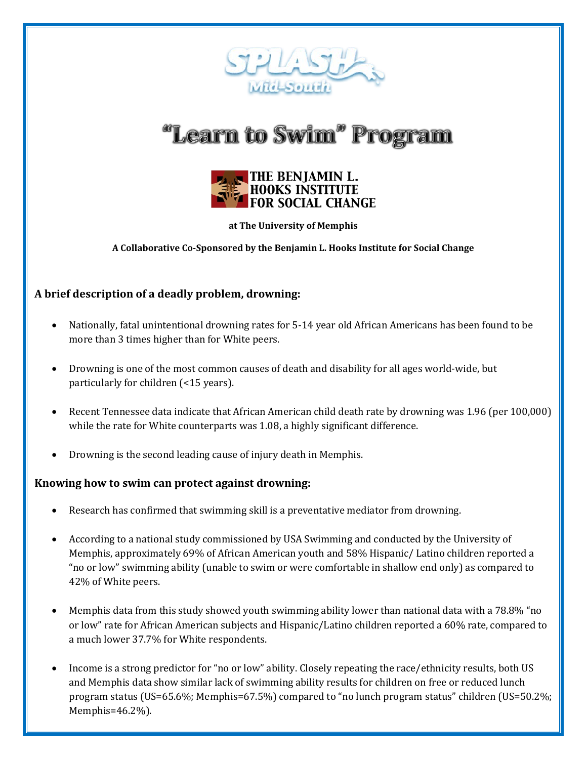

# "Learn to Swim" Program



**at The University of Memphis**

**A Collaborative Co-Sponsored by the Benjamin L. Hooks Institute for Social Change**

### **A brief description of a deadly problem, drowning:**

- Nationally, fatal unintentional drowning rates for 5-14 year old African Americans has been found to be more than 3 times higher than for White peers.
- Drowning is one of the most common causes of death and disability for all ages world-wide, but particularly for children (<15 years).
- Recent Tennessee data indicate that African American child death rate by drowning was 1.96 (per 100,000) while the rate for White counterparts was 1.08, a highly significant difference.
- Drowning is the second leading cause of injury death in Memphis.

#### **Knowing how to swim can protect against drowning:**

- Research has confirmed that swimming skill is a preventative mediator from drowning.
- According to a national study commissioned by USA Swimming and conducted by the University of Memphis, approximately 69% of African American youth and 58% Hispanic/ Latino children reported a "no or low" swimming ability (unable to swim or were comfortable in shallow end only) as compared to 42% of White peers.
- Memphis data from this study showed youth swimming ability lower than national data with a 78.8% "no or low" rate for African American subjects and Hispanic/Latino children reported a 60% rate, compared to a much lower 37.7% for White respondents.
- Income is a strong predictor for "no or low" ability. Closely repeating the race/ethnicity results, both US and Memphis data show similar lack of swimming ability results for children on free or reduced lunch program status (US=65.6%; Memphis=67.5%) compared to "no lunch program status" children (US=50.2%; Memphis=46.2%).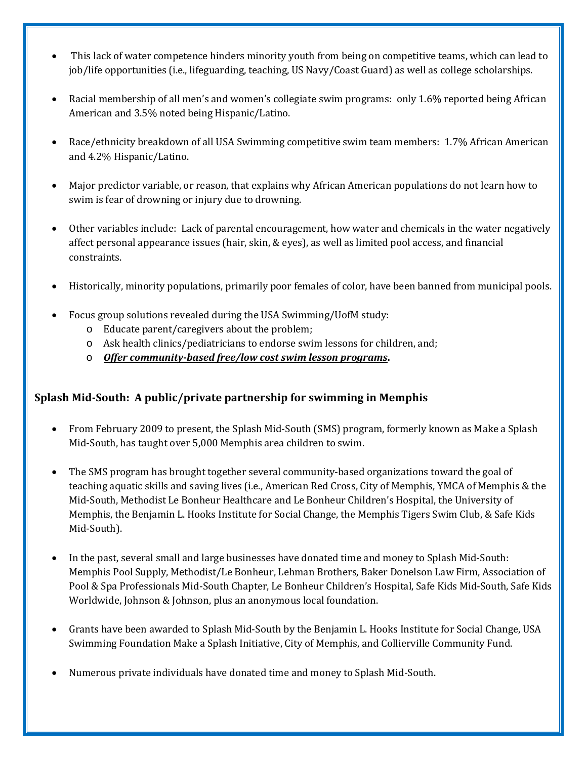- This lack of water competence hinders minority youth from being on competitive teams, which can lead to job/life opportunities (i.e., lifeguarding, teaching, US Navy/Coast Guard) as well as college scholarships.
- Racial membership of all men's and women's collegiate swim programs: only 1.6% reported being African American and 3.5% noted being Hispanic/Latino.
- Race/ethnicity breakdown of all USA Swimming competitive swim team members: 1.7% African American and 4.2% Hispanic/Latino.
- Major predictor variable, or reason, that explains why African American populations do not learn how to swim is fear of drowning or injury due to drowning.
- Other variables include: Lack of parental encouragement, how water and chemicals in the water negatively affect personal appearance issues (hair, skin, & eyes), as well as limited pool access, and financial constraints.
- Historically, minority populations, primarily poor females of color, have been banned from municipal pools.
- Focus group solutions revealed during the USA Swimming/UofM study:
	- o Educate parent/caregivers about the problem;
	- o Ask health clinics/pediatricians to endorse swim lessons for children, and;
	- o *Offer community-based free/low cost swim lesson programs***.**

## **Splash Mid-South: A public/private partnership for swimming in Memphis**

- From February 2009 to present, the Splash Mid-South (SMS) program, formerly known as Make a Splash Mid-South, has taught over 5,000 Memphis area children to swim.
- The SMS program has brought together several community-based organizations toward the goal of teaching aquatic skills and saving lives (i.e., American Red Cross, City of Memphis, YMCA of Memphis & the Mid-South, Methodist Le Bonheur Healthcare and Le Bonheur Children's Hospital, the University of Memphis, the Benjamin L. Hooks Institute for Social Change, the Memphis Tigers Swim Club, & Safe Kids Mid-South).
- In the past, several small and large businesses have donated time and money to Splash Mid-South: Memphis Pool Supply, Methodist/Le Bonheur, Lehman Brothers, Baker Donelson Law Firm, Association of Pool & Spa Professionals Mid-South Chapter, Le Bonheur Children's Hospital, Safe Kids Mid-South, Safe Kids Worldwide, Johnson & Johnson, plus an anonymous local foundation.
- Grants have been awarded to Splash Mid-South by the Benjamin L. Hooks Institute for Social Change, USA Swimming Foundation Make a Splash Initiative, City of Memphis, and Collierville Community Fund.
- Numerous private individuals have donated time and money to Splash Mid-South.